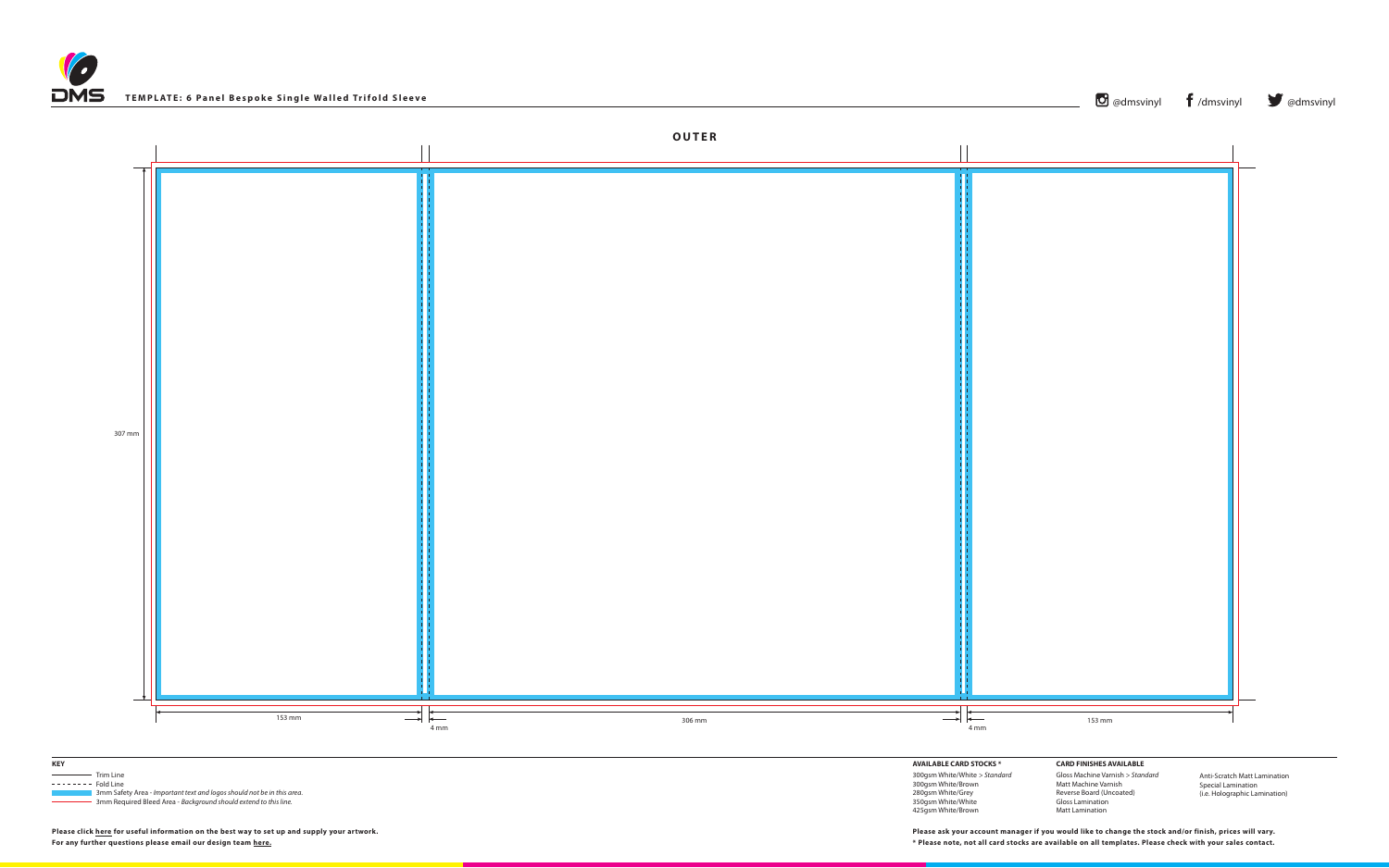



306 mm



 3mm Safety Area - *Important text and logos should not be in this area*. 3mm Required Bleed Area - *Background should extend to this line.*

**AVAILABLE CARD STOCKS \*** 300gsm White/White *> Standard* 300gsm White/Brown 280gsm White/Grey 350gsm White/White 425gsm White/Brown

**CARD FINISHES AVAILABLE** Gloss Machine Varnish *> Standard* Matt Machine Varnish Reverse Board (Uncoated) Gloss Lamination Matt Lamination

Anti-Scratch Matt Lamination Special Lamination (i.e. Holographic Lamination)

**Please click [here](http://www.discmanufacturingservices.com/vinyl-templates.htm#artwork-specifications) for useful information on the best way to set up and supply your artwork.**

| TEMPLATE: 6 Panel Bespoke Single Walled Trifold Sleeve | O @dmsvinyl f /dmsvinyl v @dmsvinyl |  |
|--------------------------------------------------------|-------------------------------------|--|
|                                                        | <b>OUTER</b>                        |  |
| $307 \text{ mm}$                                       |                                     |  |

**For any further questions please email our design team [here](mailto:graphics%40discmanufacturingservices.com?subject=Tempalte%20Enquiry). \* Please note, not all card stocks are available on all templates. Please check with your sales contact. Please ask your account manager if you would like to change the stock and/or finish, prices will vary.**